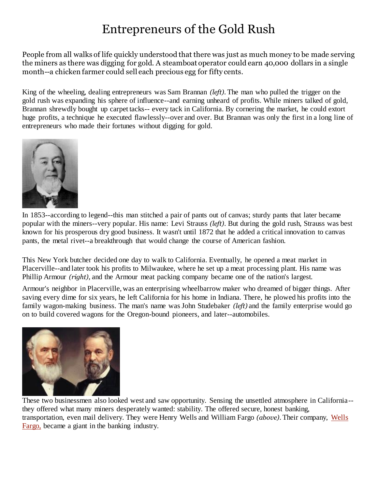## Entrepreneurs of the Gold Rush

People from all walks of life quickly understood that there was just as much money to be made serving the miners as there was digging for gold. A steamboat operator could earn 40,000 dollars in a single month--a chicken farmer could sell each precious egg for fifty cents.

King of the wheeling, dealing entrepreneurs was Sam Brannan *(left).* The man who pulled the trigger on the gold rush was expanding his sphere of influence--and earning unheard of profits. While miners talked of gold, Brannan shrewdly bought up carpet tacks-- every tack in California. By cornering the market, he could extort huge profits, a technique he executed flawlessly--over and over. But Brannan was only the first in a long line of entrepreneurs who made their fortunes without digging for gold.



In 1853--according to legend--this man stitched a pair of pants out of canvas; sturdy pants that later became popular with the miners--very popular. His name: Levi Strauss *(left)*. But during the gold rush, Strauss was best known for his prosperous dry good business. It wasn't until 1872 that he added a critical innovation to canvas pants, the metal rivet--a breakthrough that would change the course of American fashion.

This New York butcher decided one day to walk to California. Eventually, he opened a meat market in Placerville--and later took his profits to Milwaukee, where he set up a meat processing plant. His name was Phillip Armour *(right)*, and the Armour meat packing company became one of the nation's largest.

Armour's neighbor in Placerville, was an enterprising wheelbarrow maker who dreamed of bigger things. After saving every dime for six years, he left California for his home in Indiana. There, he plowed his profits into the family wagon-making business. The man's name was John Studebaker *(left)* and the family enterprise would go on to build covered wagons for the Oregon-bound pioneers, and later--automobiles.



These two businessmen also looked west and saw opportunity. Sensing the unsettled atmosphere in California- they offered what many miners desperately wanted: stability. The offered secure, honest banking, transportation, even mail delivery. They were Henry Wells and William Fargo *(above)*. Their company, [Wells](http://www.isu.edu/~trinmich/www.wellsfargo.com)  [Fargo,](http://www.isu.edu/~trinmich/www.wellsfargo.com) became a giant in the banking industry.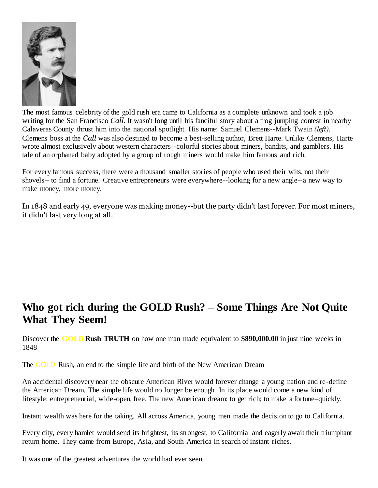

The most famous celebrity of the gold rush era came to California as a complete unknown and took a job writing for the San Francisco *Call.* It wasn't long until his fanciful story about a frog jumping contest in nearby Calaveras County thrust him into the national spotlight. His name: Samuel Clemens--Mark Twain *(left)*. Clemens boss at the *Call* was also destined to become a best-selling author, Brett Harte. Unlike Clemens, Harte wrote almost exclusively about western characters--colorful stories about miners, bandits, and gamblers. His tale of an orphaned baby adopted by a group of rough miners would make him famous and rich.

For every famous success, there were a thousand smaller stories of people who used their wits, not their shovels-- to find a fortune. Creative entrepreneurs were everywhere--looking for a new angle--a new way to make money, more money.

In 1848 and early 49, everyone was making money--but the party didn't last forever. For most miners, it didn't last very long at all.

## **Who got rich during the GOLD Rush? – Some Things Are Not Quite What They Seem!**

Discover the **GOLD Rush TRUTH** on how one man made equivalent to **\$890,000.00** in just nine weeks in 1848

The GOLD Rush, an end to the simple life and birth of the New American Dream

An accidental discovery near the obscure American River would forever change a young nation and re-define the American Dream. The simple life would no longer be enough. In its place would come a new kind of lifestyle: entrepreneurial, wide-open, free. The new American dream: to get rich; to make a fortune–quickly.

Instant wealth was here for the taking. All across America, young men made the decision to go to California.

Every city, every hamlet would send its brightest, its strongest, to California–and eagerly await their triumphant return home. They came from Europe, Asia, and South America in search of instant riches.

It was one of the greatest adventures the world had ever seen.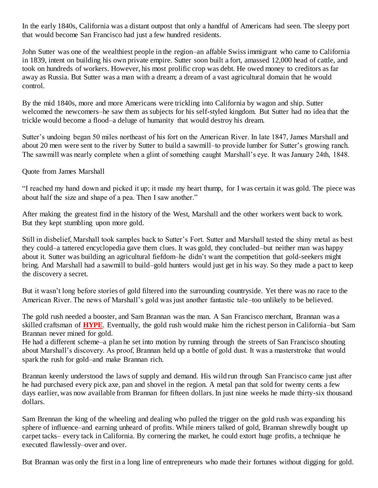In the early 1840s, California was a distant outpost that only a handful of Americans had seen. The sleepy port that would become San Francisco had just a few hundred residents.

John Sutter was one of the wealthiest people in the region–an affable Swiss immigrant who came to California in 1839, intent on building his own private empire. Sutter soon built a fort, amassed 12,000 head of cattle, and took on hundreds of workers. However, his most prolific crop was debt. He owed money to creditors as far away as Russia. But Sutter was a man with a dream; a dream of a vast agricultural domain that he would control.

By the mid 1840s, more and more Americans were trickling into California by wagon and ship. Sutter welcomed the newcomers–he saw them as subjects for his self-styled kingdom. But Sutter had no idea that the trickle would become a flood–a deluge of humanity that would destroy his dream.

Sutter's undoing began 50 miles northeast of his fort on the American River. In late 1847, James Marshall and about 20 men were sent to the river by Sutter to build a sawmill–to provide lumber for Sutter's growing ranch. The sawmill was nearly complete when a glint of something caught Marshall's eye. It was January 24th, 1848.

## Quote from James Marshall

"I reached my hand down and picked it up; it made my heart thump, for I was certain it was gold. The piece was about half the size and shape of a pea. Then I saw another."

After making the greatest find in the history of the West, Marshall and the other workers went back to work. But they kept stumbling upon more gold.

Still in disbelief, Marshall took samples back to Sutter's Fort. Sutter and Marshall tested the shiny metal as best they could–a tattered encyclopedia gave them clues. It was gold, they concluded–but neither man was happy about it. Sutter was building an agricultural fiefdom–he didn't want the competition that gold-seekers might bring. And Marshall had a sawmill to build–gold hunters would just get in his way. So they made a pact to keep the discovery a secret.

But it wasn't long before stories of gold filtered into the surrounding countryside. Yet there was no race to the American River. The news of Marshall's gold was just another fantastic tale–too unlikely to be believed.

The gold rush needed a booster, and Sam Brannan was the man. A San Francisco merchant, Brannan was a skilled craftsman of **HYPE**. Eventually, the gold rush would make him the richest person in California–but Sam Brannan never mined for gold.

He had a different scheme–a plan he set into motion by running through the streets of San Francisco shouting about Marshall's discovery. As proof, Brannan held up a bottle of gold dust. It was a masterstroke that would spark the rush for gold–and make Brannan rich.

Brannan keenly understood the laws of supply and demand. His wild run through San Francisco came just after he had purchased every pick axe, pan and shovel in the region. A metal pan that sold for twenty cents a few days earlier, was now available from Brannan for fifteen dollars. In just nine weeks he made thirty-six thousand dollars.

Sam Brennan the king of the wheeling and dealing who pulled the trigger on the gold rush was expanding his sphere of influence–and earning unheard of profits. While miners talked of gold, Brannan shrewdly bought up carpet tacks– every tack in California. By cornering the market, he could extort huge profits, a technique he executed flawlessly–over and over.

But Brannan was only the first in a long line of entrepreneurs who made their fortunes without digging for gold.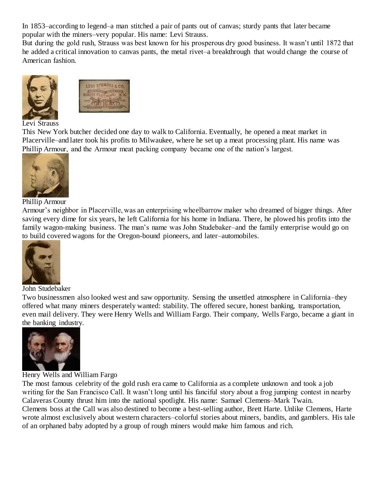In 1853–according to legend–a man stitched a pair of pants out of canvas; sturdy pants that later became popular with the miners–very popular. His name: Levi Strauss.

But during the gold rush, Strauss was best known for his prosperous dry good business. It wasn't until 1872 that he added a critical innovation to canvas pants, the metal rivet–a breakthrough that would change the course of American fashion.



Levi Strauss

This New York butcher decided one day to walk to California. Eventually, he opened a meat market in Placerville–and later took his profits to Milwaukee, where he set up a meat processing plant. His name was Phillip Armour, and the Armour meat packing company became one of the nation's largest.



Phillip Armour

Armour's neighbor in Placerville, was an enterprising wheelbarrow maker who dreamed of bigger things. After saving every dime for six years, he left California for his home in Indiana. There, he plowed his profits into the family wagon-making business. The man's name was John Studebaker–and the family enterprise would go on to build covered wagons for the Oregon-bound pioneers, and later–automobiles.



John Studebaker

Two businessmen also looked west and saw opportunity. Sensing the unsettled atmosphere in California–they offered what many miners desperately wanted: stability. The offered secure, honest banking, transportation, even mail delivery. They were Henry Wells and William Fargo. Their company, Wells Fargo, became a giant in the banking industry.



Henry Wells and William Fargo

The most famous celebrity of the gold rush era came to California as a complete unknown and took a job writing for the San Francisco Call. It wasn't long until his fanciful story about a frog jumping contest in nearby Calaveras County thrust him into the national spotlight. His name: Samuel Clemens–Mark Twain. Clemens boss at the Call was also destined to become a best-selling author, Brett Harte. Unlike Clemens, Harte wrote almost exclusively about western characters–colorful stories about miners, bandits, and gamblers. His tale of an orphaned baby adopted by a group of rough miners would make him famous and rich.